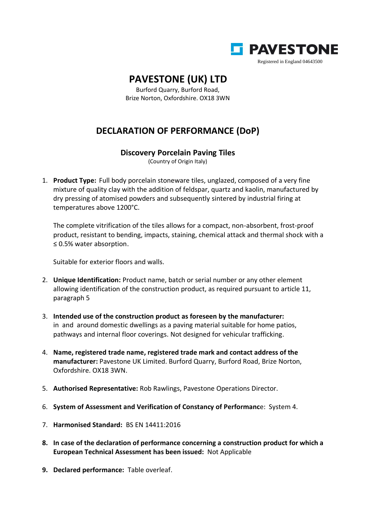

## **PAVESTONE (UK) LTD**

Burford Quarry, Burford Road, Brize Norton, Oxfordshire. OX18 3WN

## **DECLARATION OF PERFORMANCE (DoP)**

## **Discovery Porcelain Paving Tiles**

(Country of Origin Italy)

1. **Product Type:** Full body porcelain stoneware tiles, unglazed, composed of a very fine mixture of quality clay with the addition of feldspar, quartz and kaolin, manufactured by dry pressing of atomised powders and subsequently sintered by industrial firing at temperatures above 1200°C.

The complete vitrification of the tiles allows for a compact, non-absorbent, frost-proof product, resistant to bending, impacts, staining, chemical attack and thermal shock with a ≤ 0.5% water absorption.

Suitable for exterior floors and walls.

- 2. **Unique Identification:** Product name, batch or serial number or any other element allowing identification of the construction product, as required pursuant to article 11, paragraph 5
- 3. **Intended use of the construction product as foreseen by the manufacturer:** in and around domestic dwellings as a paving material suitable for home patios, pathways and internal floor coverings. Not designed for vehicular trafficking.
- 4. **Name, registered trade name, registered trade mark and contact address of the manufacturer:** Pavestone UK Limited. Burford Quarry, Burford Road, Brize Norton, Oxfordshire. OX18 3WN.
- 5. **Authorised Representative:** Rob Rawlings, Pavestone Operations Director.
- 6. **System of Assessment and Verification of Constancy of Performanc**e: System 4.
- 7. **Harmonised Standard:** BS EN 14411:2016
- **8. In case of the declaration of performance concerning a construction product for which a European Technical Assessment has been issued:** Not Applicable
- **9. Declared performance:** Table overleaf.